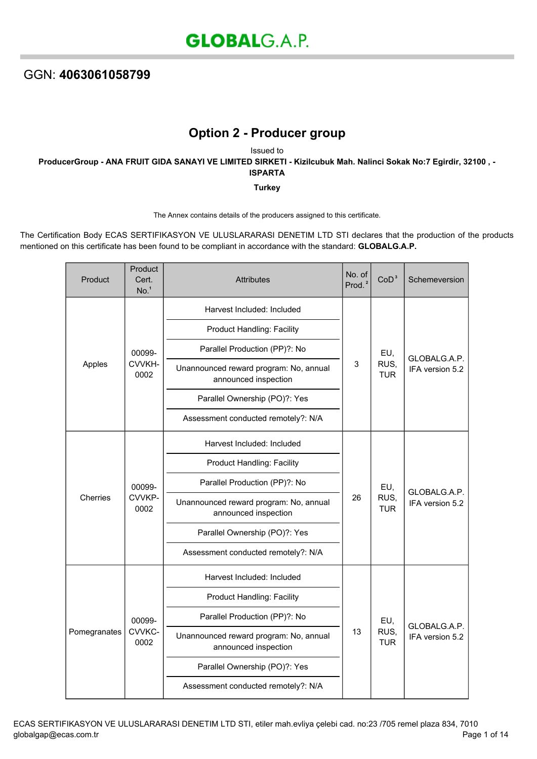## GGN: **4063061058799**

## **Option 2 - Producer group**

Issued to **ProducerGroup - ANA FRUIT GIDA SANAYI VE LIMITED SIRKETI - Kizilcubuk Mah. Nalinci Sokak No:7 Egirdir, 32100 , - ISPARTA**

**Turkey**

The Annex contains details of the producers assigned to this certificate.

The Certification Body ECAS SERTIFIKASYON VE ULUSLARARASI DENETIM LTD STI declares that the production of the products mentioned on this certificate has been found to be compliant in accordance with the standard: **GLOBALG.A.P.**

| Product      | Product<br>Cert.<br>No. <sup>1</sup> | <b>Attributes</b>                                              | No. of<br>Prod. <sup>2</sup> | CoD <sup>3</sup>          | Schemeversion                   |
|--------------|--------------------------------------|----------------------------------------------------------------|------------------------------|---------------------------|---------------------------------|
| Apples       | 00099-<br>CVVKH-<br>0002             | Harvest Included: Included                                     | 3                            | EU,<br>RUS,<br><b>TUR</b> | GLOBALG.A.P.<br>IFA version 5.2 |
|              |                                      | <b>Product Handling: Facility</b>                              |                              |                           |                                 |
|              |                                      | Parallel Production (PP)?: No                                  |                              |                           |                                 |
|              |                                      | Unannounced reward program: No, annual<br>announced inspection |                              |                           |                                 |
|              |                                      | Parallel Ownership (PO)?: Yes                                  |                              |                           |                                 |
|              |                                      | Assessment conducted remotely?: N/A                            |                              |                           |                                 |
| Cherries     | 00099-<br>CVVKP-<br>0002             | Harvest Included: Included                                     | 26                           | EU,<br>RUS,<br><b>TUR</b> | GLOBALG.A.P.<br>IFA version 5.2 |
|              |                                      | <b>Product Handling: Facility</b>                              |                              |                           |                                 |
|              |                                      | Parallel Production (PP)?: No                                  |                              |                           |                                 |
|              |                                      | Unannounced reward program: No, annual<br>announced inspection |                              |                           |                                 |
|              |                                      | Parallel Ownership (PO)?: Yes                                  |                              |                           |                                 |
|              |                                      | Assessment conducted remotely?: N/A                            |                              |                           |                                 |
| Pomegranates | 00099-<br>CVVKC-<br>0002             | Harvest Included: Included                                     | 13                           | EU,<br>RUS,<br><b>TUR</b> | GLOBALG.A.P.<br>IFA version 5.2 |
|              |                                      | Product Handling: Facility                                     |                              |                           |                                 |
|              |                                      | Parallel Production (PP)?: No                                  |                              |                           |                                 |
|              |                                      | Unannounced reward program: No, annual<br>announced inspection |                              |                           |                                 |
|              |                                      | Parallel Ownership (PO)?: Yes                                  |                              |                           |                                 |
|              |                                      | Assessment conducted remotely?: N/A                            |                              |                           |                                 |